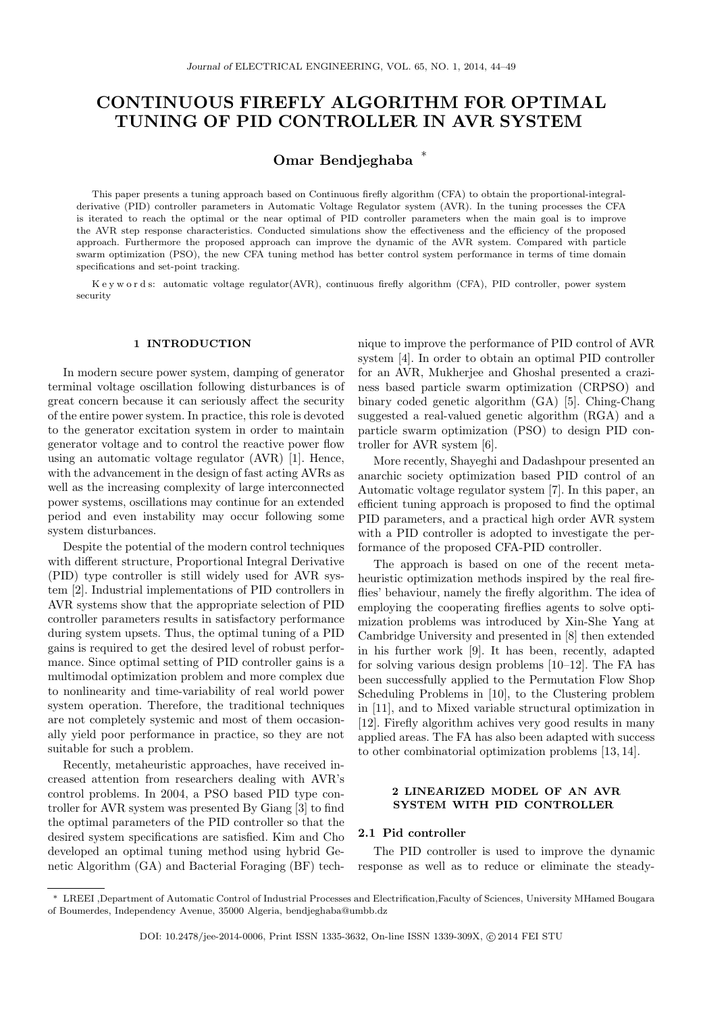# CONTINUOUS FIREFLY ALGORITHM FOR OPTIMAL TUNING OF PID CONTROLLER IN AVR SYSTEM

## Omar Bendjeghaba <sup>∗</sup>

This paper presents a tuning approach based on Continuous firefly algorithm (CFA) to obtain the proportional-integralderivative (PID) controller parameters in Automatic Voltage Regulator system (AVR). In the tuning processes the CFA is iterated to reach the optimal or the near optimal of PID controller parameters when the main goal is to improve the AVR step response characteristics. Conducted simulations show the effectiveness and the efficiency of the proposed approach. Furthermore the proposed approach can improve the dynamic of the AVR system. Compared with particle swarm optimization (PSO), the new CFA tuning method has better control system performance in terms of time domain specifications and set-point tracking.

K e y w o r d s: automatic voltage regulator(AVR), continuous firefly algorithm (CFA), PID controller, power system security

#### 1 INTRODUCTION

In modern secure power system, damping of generator terminal voltage oscillation following disturbances is of great concern because it can seriously affect the security of the entire power system. In practice, this role is devoted to the generator excitation system in order to maintain generator voltage and to control the reactive power flow using an automatic voltage regulator (AVR) [1]. Hence, with the advancement in the design of fast acting AVRs as well as the increasing complexity of large interconnected power systems, oscillations may continue for an extended period and even instability may occur following some system disturbances.

Despite the potential of the modern control techniques with different structure, Proportional Integral Derivative (PID) type controller is still widely used for AVR system [2]. Industrial implementations of PID controllers in AVR systems show that the appropriate selection of PID controller parameters results in satisfactory performance during system upsets. Thus, the optimal tuning of a PID gains is required to get the desired level of robust performance. Since optimal setting of PID controller gains is a multimodal optimization problem and more complex due to nonlinearity and time-variability of real world power system operation. Therefore, the traditional techniques are not completely systemic and most of them occasionally yield poor performance in practice, so they are not suitable for such a problem.

Recently, metaheuristic approaches, have received increased attention from researchers dealing with AVR's control problems. In 2004, a PSO based PID type controller for AVR system was presented By Giang [3] to find the optimal parameters of the PID controller so that the desired system specifications are satisfied. Kim and Cho developed an optimal tuning method using hybrid Genetic Algorithm (GA) and Bacterial Foraging (BF) technique to improve the performance of PID control of AVR system [4]. In order to obtain an optimal PID controller for an AVR, Mukherjee and Ghoshal presented a craziness based particle swarm optimization (CRPSO) and binary coded genetic algorithm (GA) [5]. Ching-Chang suggested a real-valued genetic algorithm (RGA) and a particle swarm optimization (PSO) to design PID controller for AVR system [6].

More recently, Shayeghi and Dadashpour presented an anarchic society optimization based PID control of an Automatic voltage regulator system [7]. In this paper, an efficient tuning approach is proposed to find the optimal PID parameters, and a practical high order AVR system with a PID controller is adopted to investigate the performance of the proposed CFA-PID controller.

The approach is based on one of the recent metaheuristic optimization methods inspired by the real fireflies' behaviour, namely the firefly algorithm. The idea of employing the cooperating fireflies agents to solve optimization problems was introduced by Xin-She Yang at Cambridge University and presented in [8] then extended in his further work [9]. It has been, recently, adapted for solving various design problems [10–12]. The FA has been successfully applied to the Permutation Flow Shop Scheduling Problems in [10], to the Clustering problem in [11], and to Mixed variable structural optimization in [12]. Firefly algorithm achives very good results in many applied areas. The FA has also been adapted with success to other combinatorial optimization problems [13, 14].

#### 2 LINEARIZED MODEL OF AN AVR SYSTEM WITH PID CONTROLLER

### 2.1 Pid controller

The PID controller is used to improve the dynamic response as well as to reduce or eliminate the steady-

<sup>∗</sup> LREEI ,Department of Automatic Control of Industrial Processes and Electrification,Faculty of Sciences, University MHamed Bougara of Boumerdes, Independency Avenue, 35000 Algeria, bendjeghaba@umbb.dz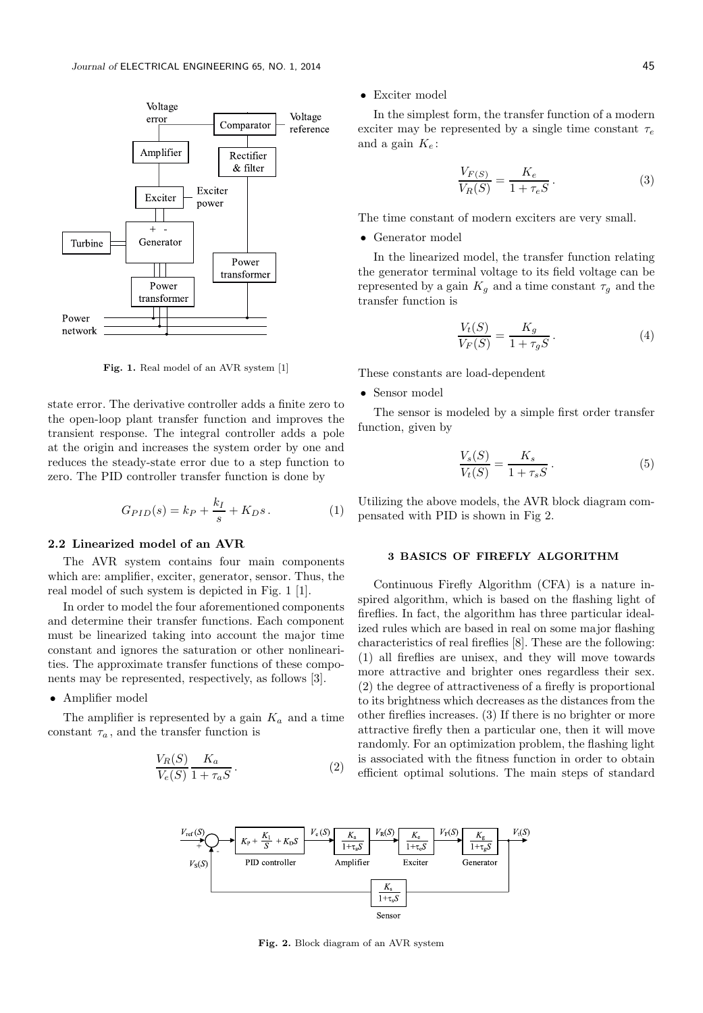

Fig. 1. Real model of an AVR system [1]

state error. The derivative controller adds a finite zero to the open-loop plant transfer function and improves the transient response. The integral controller adds a pole at the origin and increases the system order by one and reduces the steady-state error due to a step function to zero. The PID controller transfer function is done by

$$
G_{PID}(s) = k_P + \frac{k_I}{s} + K_D s. \tag{1}
$$

## 2.2 Linearized model of an AVR

The AVR system contains four main components which are: amplifier, exciter, generator, sensor. Thus, the real model of such system is depicted in Fig. 1 [1].

In order to model the four aforementioned components and determine their transfer functions. Each component must be linearized taking into account the major time constant and ignores the saturation or other nonlinearities. The approximate transfer functions of these components may be represented, respectively, as follows [3].

#### • Amplifier model

The amplifier is represented by a gain  $K_a$  and a time constant  $\tau_a$ , and the transfer function is

$$
\frac{V_R(S)}{V_e(S)} \frac{K_a}{1 + \tau_a S}.
$$
 (2)

• Exciter model

In the simplest form, the transfer function of a modern exciter may be represented by a single time constant  $\tau_e$ and a gain  $K_e$ :

$$
\frac{V_{F(S)}}{V_R(S)} = \frac{K_e}{1 + \tau_e S}.
$$
\n(3)

The time constant of modern exciters are very small.

• Generator model

In the linearized model, the transfer function relating the generator terminal voltage to its field voltage can be represented by a gain  $K_q$  and a time constant  $\tau_q$  and the transfer function is

$$
\frac{V_t(S)}{V_F(S)} = \frac{K_g}{1 + \tau_g S}.
$$
\n<sup>(4)</sup>

These constants are load-dependent

• Sensor model

The sensor is modeled by a simple first order transfer function, given by

$$
\frac{V_s(S)}{V_t(S)} = \frac{K_s}{1 + \tau_s S}.
$$
\n<sup>(5)</sup>

Utilizing the above models, the AVR block diagram compensated with PID is shown in Fig 2.

#### 3 BASICS OF FIREFLY ALGORITHM

Continuous Firefly Algorithm (CFA) is a nature inspired algorithm, which is based on the flashing light of fireflies. In fact, the algorithm has three particular idealized rules which are based in real on some major flashing characteristics of real fireflies [8]. These are the following: (1) all fireflies are unisex, and they will move towards more attractive and brighter ones regardless their sex. (2) the degree of attractiveness of a firefly is proportional to its brightness which decreases as the distances from the other fireflies increases. (3) If there is no brighter or more attractive firefly then a particular one, then it will move randomly. For an optimization problem, the flashing light is associated with the fitness function in order to obtain efficient optimal solutions. The main steps of standard



Fig. 2. Block diagram of an AVR system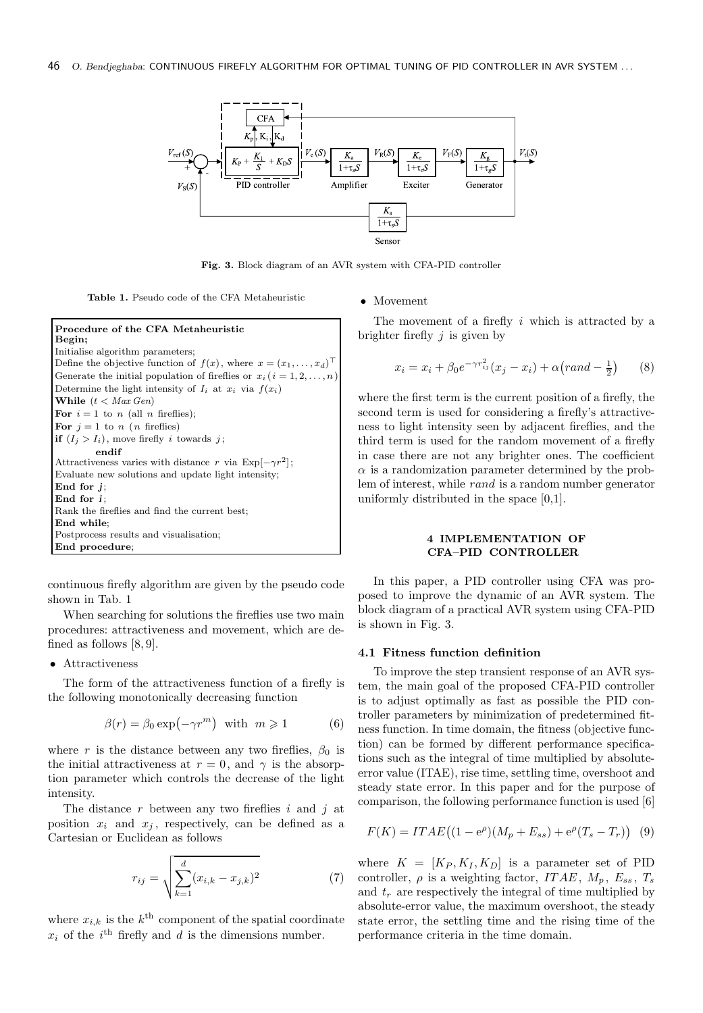

Fig. 3. Block diagram of an AVR system with CFA-PID controller

Table 1. Pseudo code of the CFA Metaheuristic

```
Procedure of the CFA Metaheuristic
Begin;
Initialise algorithm parameters;
Define the objective function of f(x), where x = (x_1, \ldots, x_d)^\topGenerate the initial population of fireflies or x_i ( i = 1, 2, \ldots, n)
Determine the light intensity of I_i at x_i via f(x_i)While (t < Max Gen)For i = 1 to n (all n fireflies);
For j = 1 to n (n fireflies)
if (I_i > I_i), move firefly i towards j;
         endif
Attractiveness varies with distance r via Exp[-\gamma r^2];
Evaluate new solutions and update light intensity;
End for j;
End for i;
Rank the fireflies and find the current best;
End while;
Postprocess results and visualisation;
End procedure;
```
continuous firefly algorithm are given by the pseudo code shown in Tab. 1

When searching for solutions the fireflies use two main procedures: attractiveness and movement, which are defined as follows [8, 9].

## • Attractiveness

The form of the attractiveness function of a firefly is the following monotonically decreasing function

$$
\beta(r) = \beta_0 \exp(-\gamma r^m) \quad \text{with} \quad m \geq 1 \tag{6}
$$

where r is the distance between any two fireflies,  $\beta_0$  is the initial attractiveness at  $r = 0$ , and  $\gamma$  is the absorption parameter which controls the decrease of the light intensity.

The distance  $r$  between any two fireflies  $i$  and  $j$  at position  $x_i$  and  $x_j$ , respectively, can be defined as a Cartesian or Euclidean as follows

$$
r_{ij} = \sqrt{\sum_{k=1}^{d} (x_{i,k} - x_{j,k})^2}
$$
 (7)

where  $x_{i,k}$  is the  $k^{\text{th}}$  component of the spatial coordinate  $x_i$  of the  $i^{\text{th}}$  firefly and d is the dimensions number.

#### • Movement

The movement of a firefly  $i$  which is attracted by a brighter firefly  $j$  is given by

$$
x_i = x_i + \beta_0 e^{-\gamma r_{ij}^2} (x_j - x_i) + \alpha (rand - \frac{1}{2}) \tag{8}
$$

where the first term is the current position of a firefly, the second term is used for considering a firefly's attractiveness to light intensity seen by adjacent fireflies, and the third term is used for the random movement of a firefly in case there are not any brighter ones. The coefficient  $\alpha$  is a randomization parameter determined by the problem of interest, while rand is a random number generator uniformly distributed in the space [0,1].

## 4 IMPLEMENTATION OF CFA–PID CONTROLLER

In this paper, a PID controller using CFA was proposed to improve the dynamic of an AVR system. The block diagram of a practical AVR system using CFA-PID is shown in Fig. 3.

## 4.1 Fitness function definition

To improve the step transient response of an AVR system, the main goal of the proposed CFA-PID controller is to adjust optimally as fast as possible the PID controller parameters by minimization of predetermined fitness function. In time domain, the fitness (objective function) can be formed by different performance specifications such as the integral of time multiplied by absoluteerror value (ITAE), rise time, settling time, overshoot and steady state error. In this paper and for the purpose of comparison, the following performance function is used [6]

$$
F(K) = ITAE((1 - e^{\rho})(M_p + E_{ss}) + e^{\rho}(T_s - T_r))
$$
 (9)

where  $K = [K_P, K_I, K_D]$  is a parameter set of PID controller,  $\rho$  is a weighting factor, ITAE,  $M_p$ ,  $E_{ss}$ , T<sub>s</sub> and  $t_r$  are respectively the integral of time multiplied by absolute-error value, the maximum overshoot, the steady state error, the settling time and the rising time of the performance criteria in the time domain.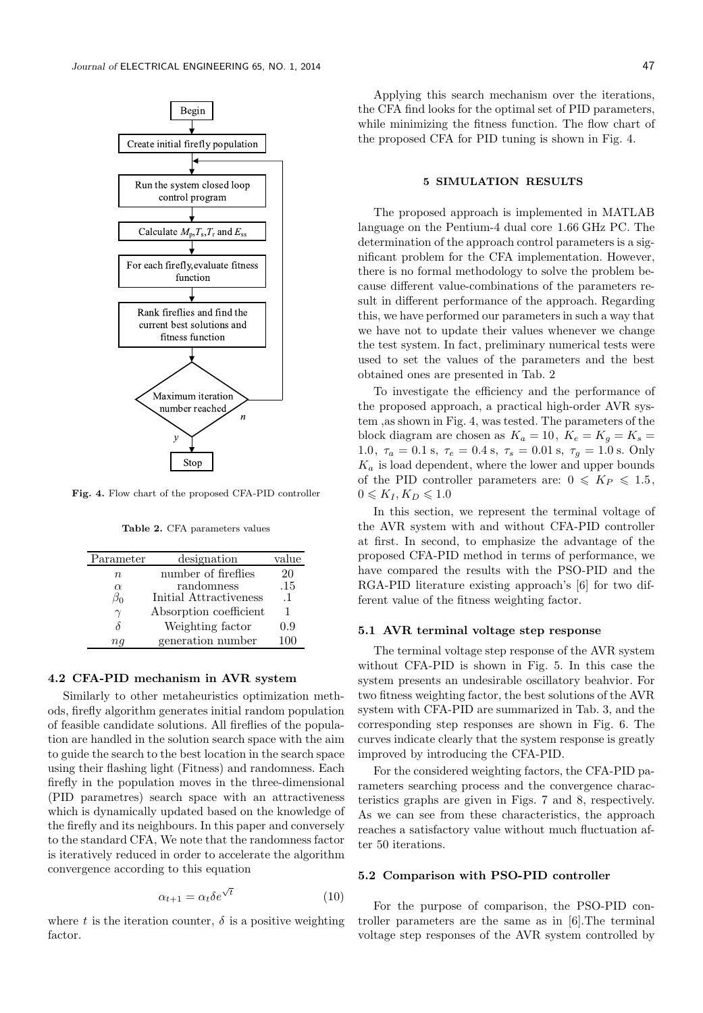

Fig. 4. Flow chart of the proposed CFA-PID controller

Table 2. CFA parameters values

| Parameter | designation            | value     |
|-----------|------------------------|-----------|
| n         | number of fireflies    | 20        |
| $\alpha$  | randomness             | .15       |
| $\beta_0$ | Initial Attractiveness | $\cdot$ 1 |
| $\gamma$  | Absorption coefficient | 1         |
|           | Weighting factor       | 0.9       |
| пq        | generation number      | 100       |

## 4.2 CFA-PID mechanism in AVR system

Similarly to other metaheuristics optimization methods, firefly algorithm generates initial random population of feasible candidate solutions. All fireflies of the population are handled in the solution search space with the aim to guide the search to the best location in the search space using their flashing light (Fitness) and randomness. Each firefly in the population moves in the three-dimensional (PID parametres) search space with an attractiveness which is dynamically updated based on the knowledge of the firefly and its neighbours. In this paper and conversely to the standard CFA, We note that the randomness factor is iteratively reduced in order to accelerate the algorithm convergence according to this equation

$$
\alpha_{t+1} = \alpha_t \delta e^{\sqrt{t}} \tag{10}
$$

where t is the iteration counter,  $\delta$  is a positive weighting factor.

Applying this search mechanism over the iterations, the CFA find looks for the optimal set of PID parameters, while minimizing the fitness function. The flow chart of the proposed CFA for PID tuning is shown in Fig. 4.

## 5 SIMULATION RESULTS

The proposed approach is implemented in MATLAB language on the Pentium-4 dual core 1.66 GHz PC. The determination of the approach control parameters is a significant problem for the CFA implementation. However, there is no formal methodology to solve the problem because different value-combinations of the parameters result in different performance of the approach. Regarding this, we have performed our parameters in such a way that we have not to update their values whenever we change the test system. In fact, preliminary numerical tests were used to set the values of the parameters and the best obtained ones are presented in Tab. 2

To investigate the efficiency and the performance of the proposed approach, a practical high-order AVR system ,as shown in Fig. 4, was tested. The parameters of the block diagram are chosen as  $K_a = 10$ ,  $K_e = K_g = K_s =$ 1.0,  $\tau_a = 0.1$  s,  $\tau_e = 0.4$  s,  $\tau_s = 0.01$  s,  $\tau_q = 1.0$  s. Only  $K_a$  is load dependent, where the lower and upper bounds of the PID controller parameters are:  $0 \leqslant K_P \leqslant 1.5$ ,  $0 \leqslant K_I, K_D \leqslant 1.0$ 

In this section, we represent the terminal voltage of the AVR system with and without CFA-PID controller at first. In second, to emphasize the advantage of the proposed CFA-PID method in terms of performance, we have compared the results with the PSO-PID and the RGA-PID literature existing approach's [6] for two different value of the fitness weighting factor.

#### 5.1 AVR terminal voltage step response

The terminal voltage step response of the AVR system without CFA-PID is shown in Fig. 5. In this case the system presents an undesirable oscillatory beahvior. For two fitness weighting factor, the best solutions of the AVR system with CFA-PID are summarized in Tab. 3, and the corresponding step responses are shown in Fig. 6. The curves indicate clearly that the system response is greatly improved by introducing the CFA-PID.

For the considered weighting factors, the CFA-PID parameters searching process and the convergence characteristics graphs are given in Figs. 7 and 8, respectively. As we can see from these characteristics, the approach reaches a satisfactory value without much fluctuation after 50 iterations.

## 5.2 Comparison with PSO-PID controller

For the purpose of comparison, the PSO-PID controller parameters are the same as in [6].The terminal voltage step responses of the AVR system controlled by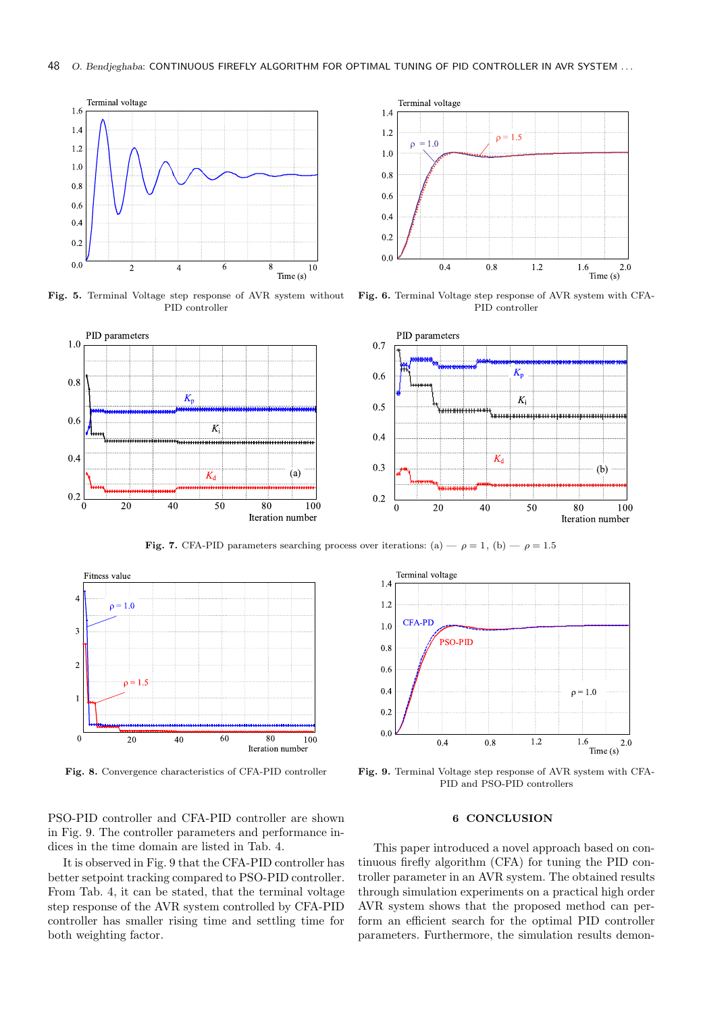

Fig. 5. Terminal Voltage step response of AVR system without PID controller



Fig. 6. Terminal Voltage step response of AVR system with CFA-PID controller



Fig. 7. CFA-PID parameters searching process over iterations: (a)  $-\rho = 1$ , (b)  $-\rho = 1.5$ 





Fig. 8. Convergence characteristics of CFA-PID controller Fig. 9. Terminal Voltage step response of AVR system with CFA-PID and PSO-PID controllers

PSO-PID controller and CFA-PID controller are shown in Fig. 9. The controller parameters and performance indices in the time domain are listed in Tab. 4.

It is observed in Fig. 9 that the CFA-PID controller has better setpoint tracking compared to PSO-PID controller. From Tab. 4, it can be stated, that the terminal voltage step response of the AVR system controlled by CFA-PID controller has smaller rising time and settling time for both weighting factor.

#### 6 CONCLUSION

This paper introduced a novel approach based on continuous firefly algorithm (CFA) for tuning the PID controller parameter in an AVR system. The obtained results through simulation experiments on a practical high order AVR system shows that the proposed method can perform an efficient search for the optimal PID controller parameters. Furthermore, the simulation results demon-